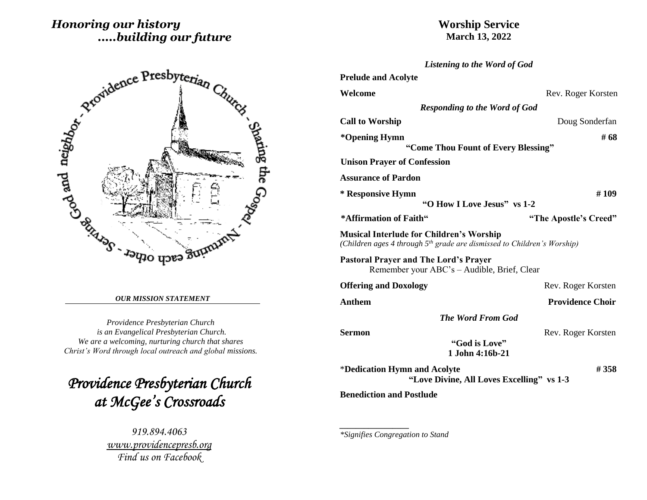# *Honoring our history .....building our future*



#### *OUR MISSION STATEMENT*

*Providence Presbyterian Church is an Evangelical Presbyterian Church. We are a welcoming, nurturing church that shares Christ's Word through local outreach and global missions.*

*Providence Presbyterian Church at McGee's Crossroads* 

> *919.894.4063 [www.providencepresb.org](http://www.providencepresb.org/) Find us on Facebook*

## **Worship Service March 13, 2022**

| Listening to the Word of God                                                                                                           |                         |  |
|----------------------------------------------------------------------------------------------------------------------------------------|-------------------------|--|
| <b>Prelude and Acolyte</b>                                                                                                             |                         |  |
| Welcome                                                                                                                                | Rev. Roger Korsten      |  |
| <b>Responding to the Word of God</b>                                                                                                   |                         |  |
| <b>Call to Worship</b>                                                                                                                 | Doug Sonderfan          |  |
| *Opening Hymn<br>"Come Thou Fount of Every Blessing"                                                                                   | # 68                    |  |
| <b>Unison Prayer of Confession</b>                                                                                                     |                         |  |
| <b>Assurance of Pardon</b>                                                                                                             |                         |  |
| * Responsive Hymn                                                                                                                      | #109                    |  |
| "O How I Love Jesus" vs 1-2                                                                                                            |                         |  |
| *Affirmation of Faith"                                                                                                                 | "The Apostle's Creed"   |  |
| <b>Musical Interlude for Children's Worship</b><br>(Children ages 4 through 5 <sup>th</sup> grade are dismissed to Children's Worship) |                         |  |
| <b>Pastoral Prayer and The Lord's Prayer</b><br>Remember your ABC's - Audible, Brief, Clear                                            |                         |  |
| <b>Offering and Doxology</b>                                                                                                           | Rev. Roger Korsten      |  |
| <b>Anthem</b>                                                                                                                          | <b>Providence Choir</b> |  |
| <b>The Word From God</b>                                                                                                               |                         |  |
| <b>Sermon</b>                                                                                                                          | Rev. Roger Korsten      |  |
| "God is Love"<br>1 John 4:16b-21                                                                                                       |                         |  |
| *Dedication Hymn and Acolyte<br>"Love Divine, All Loves Excelling" vs 1-3                                                              | #358                    |  |
| <b>Benediction and Postlude</b>                                                                                                        |                         |  |

*\*Signifies Congregation to Stand*

*\_\_\_\_\_\_\_\_\_\_\_\_\_\_\_\_\_*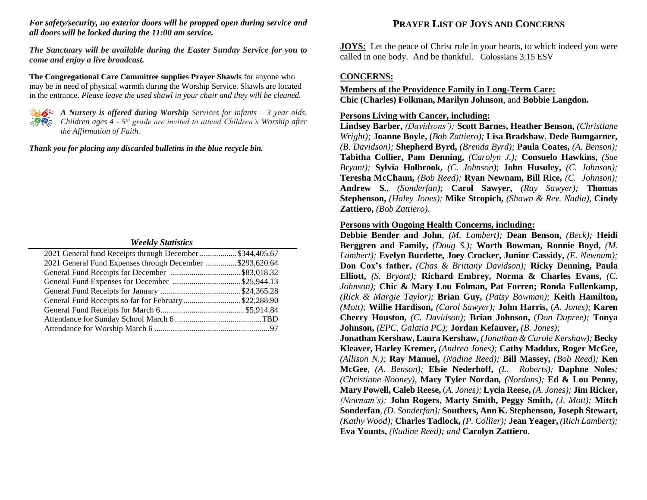#### *For safety/security, no exterior doors will be propped open during service and all doors will be locked during the 11:00 am service.*

*The Sanctuary will be available during the Easter Sunday Service for you to come and enjoy a live broadcast.*

**The Congregational Care Committee supplies Prayer Shawls** for anyone who may be in need of physical warmth during the Worship Service. Shawls are located in the entrance. *Please leave the used shawl in your chair and they will be cleaned.*



*A Nursery is offered during Worship Services for infants – 3 year olds. Children ages 4 - 5 th grade are invited to attend Children's Worship after the Affirmation of Faith.*

*Thank you for placing any discarded bulletins in the blue recycle bin.*

#### *Weekly Statistics*

| 2021 General fund Receipts through December \$344,405.67 |  |
|----------------------------------------------------------|--|
| 2021 General Fund Expenses through December \$293,620.64 |  |
|                                                          |  |
|                                                          |  |
|                                                          |  |
| General Fund Receipts so far for February\$22,288.90     |  |
|                                                          |  |
|                                                          |  |
|                                                          |  |

## **PRAYER LIST OF JOYS AND CONCERNS**

**JOYS:** Let the peace of Christ rule in your hearts, to which indeed you were called in one body. And be thankful. Colossians 3:15 ESV

### **CONCERNS:**

### **Members of the Providence Family in Long-Term Care: Chic (Charles) Folkman, Marilyn Johnson**, and **Bobbie Langdon.**

#### **Persons Living with Cancer, including:**

**Lindsey Barber,** *(Davidsons');* **Scott Barnes, Heather Benson,** *(Christiane Wright);* **Joanne Boyle,** (*Bob Zattiero);* **Lisa Bradshaw***,* **Dede Bumgarner***, (B. Davidson);* **Shepherd Byrd,** *(Brenda Byrd);* **Paula Coates,** *(A. Benson);*  **Tabitha Collier, Pam Denning,** *(Carolyn J.);* **Consuelo Hawkins,** *(Sue Bryant);* **Sylvia Holbrook,** *(C. Johnson)*; **John Husuley,** *(C. Johnson);*  **Teresha McChann,** *(Bob Reed);* **Ryan Newnam, Bill Rice,** *(C. Johnson);*  **Andrew S.**, *(Sonderfan);* **Carol Sawyer,** *(Ray Sawyer);* **Thomas Stephenson,** *(Haley Jones);* **Mike Stropich,** *(Shawn & Rev. Nadia),* **Cindy Zattiero,** *(Bob Zattiero).*

#### **Persons with Ongoing Health Concerns, including:**

**Debbie Bender and John***, (M. Lambert);* **Dean Benson,** *(Beck);* **Heidi Berggren and Family,** *(Doug S.);* **Worth Bowman, Ronnie Boyd,** *(M. Lambert);* **Evelyn Burdette, Joey Crocker, Junior Cassidy,** *(E. Newnam);* **Don Cox's father,** *(Chas & Brittany Davidson);* **Ricky Denning, Paula Elliott,** *(S. Bryant);* **Richard Embrey, Norma & Charles Evans,** *(C. Johnson);* **Chic & Mary Lou Folman, Pat Forren; Ronda Fullenkamp,**  *(Rick & Margie Taylor);* **Brian Guy,** *(Patsy Bowman);* **Keith Hamilton,** *(Mott);* **Willie Hardison,** *(Carol Sawyer);* **John Harris,** (*A. Jones)*; **Karen Cherry Houston,** *(C. Davidson);* **Brian Johnson,** (*Don Dupree);* **Tonya Johnson,** *(EPC, Galatia PC);* **Jordan Kefauver,** *(B. Jones);* **Jonathan Kershaw, Laura Kershaw,** *(Jonathan & Carole Kershaw);* **Becky Kleaver, Harley Kremer***, (Andrea Jones);* **Cathy Maddux, Roger McGee,**  *(Allison N.);* **Ray Manuel,** *(Nadine Reed);* **Bill Massey,** *(Bob Reed);* **Ken McGee***, (A. Benson);* **Elsie Nederhoff,** *(L. Roberts);* **Daphne Noles***; (Christiane Nooney),* **Mary Tyler Nordan***, (Nordans);* **Ed & Lou Penny, Mary Powell, Caleb Reese,** (*A. Jones);* **Lycia Reese,** *(A. Jones);* **Jim Ricker,**

*(Newnam's);* **John Rogers***,* **Marty Smith, Peggy Smith,** *(J. Mott);* **Mitch Sonderfan***, (D. Sonderfan);* **Southers, Ann K. Stephenson, Joseph Stewart,**  *(Kathy Wood);* **Charles Tadlock,** *(P. Collier);* **Jean Yeager,** *(Rich Lambert);*  **Eva Younts,** *(Nadine Reed); and* **Carolyn Zattiero***.*